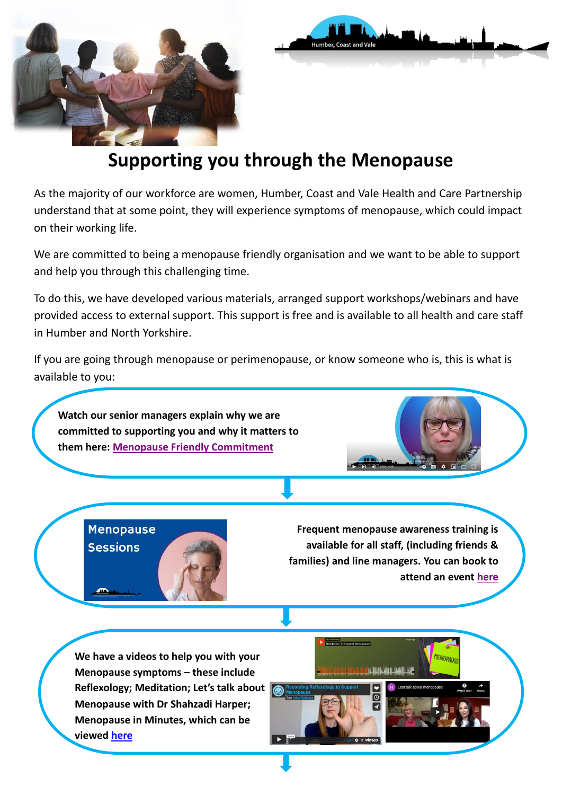



## **Supporting you through the Menopause**

As the majority of our workforce are women, Humber, Coast and Vale Health and Care Partnership understand that at some point, they will experience symptoms of menopause, which could impact on their working life.

We are committed to being a menopause friendly organisation and we want to be able to support and help you through this challenging time.

To do this, we have developed various materials, arranged support workshops/webinars and have provided access to external support. This support is free and is available to all health and care staff in Humber and North Yorkshire.

If you are going through menopause or perimenopause, or know someone who is, this is what is available to you:

**Watch our senior managers explain why we are committed to supporting you and why it matters to them here: [Menopause Friendly Commitment](https://www.youtube.com/watch?v=Pc0_07IQBww&feature=emb_imp_woyt)**



**Menopause Sessions** 



**Frequent menopause awareness training is available for all staff, (including friends & families) and line managers. You can book to attend an event [here](https://bookwhen.com/hcv#focus=ev-shnf-20220303120000)**

**We have a videos to help you with your Menopause symptoms – these include Reflexology; Meditation; Let's talk about Menopause with Dr Shahzadi Harper; Menopause in Minutes, which can be viewed [here](https://humbercoastandvale.org.uk/health-and-wellbeing/#Menopause)**